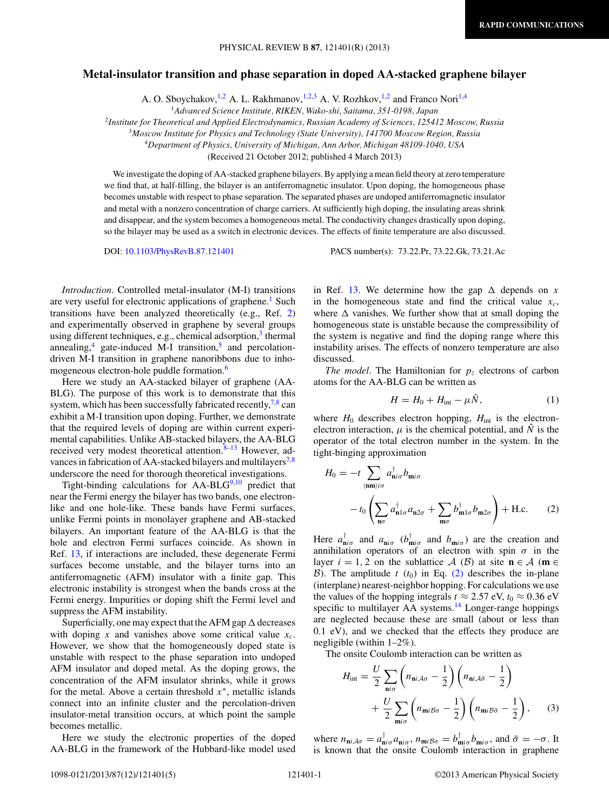## <span id="page-0-0"></span>**Metal-insulator transition and phase separation in doped AA-stacked graphene bilayer**

A. O. Sboychakov, <sup>1,2</sup> A. L. Rakhmanov, <sup>1,2,3</sup> A. V. Rozhkov, <sup>1,2</sup> and Franco Nori<sup>1,4</sup>

<sup>2</sup>*Institute for Theoretical and Applied Electrodynamics, Russian Academy of Sciences, 125412 Moscow, Russia*

<sup>3</sup>*Moscow Institute for Physics and Technology (State University), 141700 Moscow Region, Russia*

<sup>4</sup>*Department of Physics, University of Michigan, Ann Arbor, Michigan 48109-1040, USA*

(Received 21 October 2012; published 4 March 2013)

We investigate the doping of AA-stacked graphene bilayers. By applying a mean field theory at zero temperature we find that, at half-filling, the bilayer is an antiferromagnetic insulator. Upon doping, the homogeneous phase becomes unstable with respect to phase separation. The separated phases are undoped antiferromagnetic insulator and metal with a nonzero concentration of charge carriers. At sufficiently high doping, the insulating areas shrink and disappear, and the system becomes a homogeneous metal. The conductivity changes drastically upon doping, so the bilayer may be used as a switch in electronic devices. The effects of finite temperature are also discussed.

DOI: [10.1103/PhysRevB.87.121401](http://dx.doi.org/10.1103/PhysRevB.87.121401) PACS number(s): 73*.*22*.*Pr, 73*.*22*.*Gk, 73*.*21*.*Ac

*Introduction*. Controlled metal-insulator (M-I) transitions are very useful for electronic applications of graphene.<sup>[1](#page-3-0)</sup> Such transitions have been analyzed theoretically (e.g., Ref. [2\)](#page-3-0) and experimentally observed in graphene by several groups using different techniques, e.g., chemical adsorption, $3$  thermal annealing, $4$  gate-induced M-I transition, $5$  and percolationdriven M-I transition in graphene nanoribbons due to inhomogeneous electron-hole puddle formation[.6](#page-3-0)

Here we study an AA-stacked bilayer of graphene (AA-BLG). The purpose of this work is to demonstrate that this system, which has been successfully fabricated recently,  $\frac{7}{8}$  can exhibit a M-I transition upon doping. Further, we demonstrate that the required levels of doping are within current experimental capabilities. Unlike AB-stacked bilayers, the AA-BLG received very modest theoretical attention. $8-13$  However, ad-vances in fabrication of AA-stacked bilayers and multilayers<sup>[7,8](#page-3-0)</sup> underscore the need for thorough theoretical investigations.

Tight-binding calculations for  $AA-BLG<sup>9,10</sup>$  $AA-BLG<sup>9,10</sup>$  $AA-BLG<sup>9,10</sup>$  predict that near the Fermi energy the bilayer has two bands, one electronlike and one hole-like. These bands have Fermi surfaces, unlike Fermi points in monolayer graphene and AB-stacked bilayers. An important feature of the AA-BLG is that the hole and electron Fermi surfaces coincide. As shown in Ref. [13,](#page-3-0) if interactions are included, these degenerate Fermi surfaces become unstable, and the bilayer turns into an antiferromagnetic (AFM) insulator with a finite gap. This electronic instability is strongest when the bands cross at the Fermi energy. Impurities or doping shift the Fermi level and suppress the AFM instability.

Superficially, one may expect that the AFM gap  $\Delta$  decreases with doping  $x$  and vanishes above some critical value  $x_c$ . However, we show that the homogeneously doped state is unstable with respect to the phase separation into undoped AFM insulator and doped metal. As the doping grows, the concentration of the AFM insulator shrinks, while it grows for the metal. Above a certain threshold *x*<sup>∗</sup>, metallic islands connect into an infinite cluster and the percolation-driven insulator-metal transition occurs, at which point the sample becomes metallic.

Here we study the electronic properties of the doped AA-BLG in the framework of the Hubbard-like model used

in Ref. [13.](#page-3-0) We determine how the gap  $\Delta$  depends on x in the homogeneous state and find the critical value  $x_c$ , where  $\Delta$  vanishes. We further show that at small doping the homogeneous state is unstable because the compressibility of the system is negative and find the doping range where this instability arises. The effects of nonzero temperature are also discussed.

*The model*. The Hamiltonian for  $p<sub>z</sub>$  electrons of carbon atoms for the AA-BLG can be written as

$$
H = H_0 + H_{\text{int}} - \mu \hat{N}, \qquad (1)
$$

where  $H_0$  describes electron hopping,  $H_{int}$  is the electronelectron interaction,  $\mu$  is the chemical potential, and  $\hat{N}$  is the operator of the total electron number in the system. In the tight-binging approximation

$$
H_0 = -t \sum_{\langle \mathbf{n}\mathbf{m}\rangle i\sigma} a_{\mathbf{n}i\sigma}^\dagger b_{\mathbf{m}i\sigma}
$$

$$
-t_0 \left( \sum_{\mathbf{n}\sigma} a_{\mathbf{n}1\sigma}^\dagger a_{\mathbf{n}2\sigma} + \sum_{\mathbf{m}\sigma} b_{\mathbf{m}1\sigma}^\dagger b_{\mathbf{m}2\sigma} \right) + \text{H.c.} \qquad (2)
$$

Here  $a_{ni\sigma}^{\dagger}$  and  $a_{ni\sigma}$  ( $b_{mi\sigma}^{\dagger}$  and  $b_{mi\sigma}$ ) are the creation and annihilation operators of an electron with spin  $\sigma$  in the layer  $i = 1, 2$  on the sublattice A (B) at site  $\mathbf{n} \in A$  ( $\mathbf{m} \in A$ B). The amplitude  $t$  ( $t_0$ ) in Eq. (2) describes the in-plane (interplane) nearest-neighbor hopping. For calculations we use the values of the hopping integrals  $t \approx 2.57$  eV,  $t_0 \approx 0.36$  eV specific to multilayer AA systems.<sup>[14](#page-3-0)</sup> Longer-range hoppings are neglected because these are small (about or less than 0.1 eV), and we checked that the effects they produce are negligible (within 1–2%).

The onsite Coulomb interaction can be written as

$$
H_{\text{int}} = \frac{U}{2} \sum_{\mathbf{n}i\sigma} \left( n_{\mathbf{n}i\mathcal{A}\sigma} - \frac{1}{2} \right) \left( n_{\mathbf{n}i\mathcal{A}\bar{\sigma}} - \frac{1}{2} \right)
$$
  
+ 
$$
\frac{U}{2} \sum_{\mathbf{m}i\sigma} \left( n_{\mathbf{m}i\mathcal{B}\sigma} - \frac{1}{2} \right) \left( n_{\mathbf{m}i\mathcal{B}\bar{\sigma}} - \frac{1}{2} \right), \qquad (3)
$$

where  $n_{\mathbf{n}i\mathcal{A}\sigma} = a_{\mathbf{n}i\sigma}^{\mathsf{T}} a_{\mathbf{n}i\sigma}$ ,  $n_{\mathbf{m}i\mathcal{B}\sigma} = b_{\mathbf{m}i\sigma}^{\mathsf{T}} b_{\mathbf{m}i\sigma}$ , and  $\bar{\sigma} = -\sigma$ . It is known that the onsite Coulomb interaction in graphene

<sup>1</sup>*Advanced Science Institute, RIKEN, Wako-shi, Saitama, 351-0198, Japan*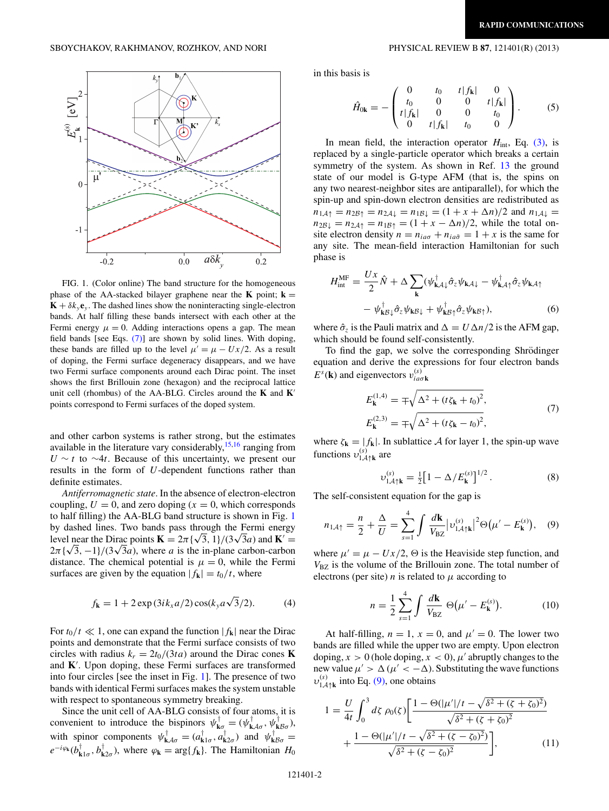<span id="page-1-0"></span>

FIG. 1. (Color online) The band structure for the homogeneous phase of the AA-stacked bilayer graphene near the **K** point;  $\mathbf{k} =$  $\mathbf{K} + \delta k_y \mathbf{e}_y$ . The dashed lines show the noninteracting single-electron bands. At half filling these bands intersect with each other at the Fermi energy  $\mu = 0$ . Adding interactions opens a gap. The mean field bands [see Eqs. (7)] are shown by solid lines. With doping, these bands are filled up to the level  $\mu' = \mu - Ux/2$ . As a result of doping, the Fermi surface degeneracy disappears, and we have two Fermi surface components around each Dirac point. The inset shows the first Brillouin zone (hexagon) and the reciprocal lattice unit cell (rhombus) of the AA-BLG. Circles around the **K** and **K** points correspond to Fermi surfaces of the doped system.

and other carbon systems is rather strong, but the estimates available in the literature vary considerably,  $15,16$  ranging from *U* ∼ *t* to ∼4*t*. Because of this uncertainty, we present our results in the form of *U*-dependent functions rather than definite estimates.

*Antiferromagnetic state*. In the absence of electron-electron coupling,  $U = 0$ , and zero doping  $(x = 0)$ , which corresponds to half filling) the AA-BLG band structure is shown in Fig. 1 by dashed lines. Two bands pass through the Fermi energy by dashed lines. Two bands pass through the Fermi energy level near the Dirac points  $\mathbf{K} = 2\pi \{\sqrt{3}, 1\}/(3\sqrt{3}a)$  and  $\mathbf{K}' =$ level near the Dirac points  $\mathbf{K} = 2\pi \{\sqrt{3}, 1\} / (3\sqrt{3}a)$  and  $\mathbf{K}' = 2\pi \{\sqrt{3}, -1\} / (3\sqrt{3}a)$ , where *a* is the in-plane carbon-carbon distance. The chemical potential is  $\mu = 0$ , while the Fermi surfaces are given by the equation  $|f_{\bf k}| = t_0/t$ , where

$$
f_{\mathbf{k}} = 1 + 2 \exp(3ik_x a/2) \cos(k_y a\sqrt{3}/2).
$$
 (4)

For  $t_0/t \ll 1$ , one can expand the function  $|f_{\bf k}|$  near the Dirac points and demonstrate that the Fermi surface consists of two circles with radius  $k_r = 2t_0/(3ta)$  around the Dirac cones **K** and **K** . Upon doping, these Fermi surfaces are transformed into four circles [see the inset in Fig. 1]. The presence of two bands with identical Fermi surfaces makes the system unstable with respect to spontaneous symmetry breaking.

Since the unit cell of AA-BLG consists of four atoms, it is convenient to introduce the bispinors  $\psi_{\mathbf{k}\sigma}^{\dagger} = (\psi_{\mathbf{k}A\sigma}^{\dagger}, \psi_{\mathbf{k}B\sigma}^{\dagger}),$ with spinor components  $\psi_{\mathbf{k}A\sigma}^{\dagger} = (a_{\mathbf{k}1\sigma}^{\dagger}, a_{\mathbf{k}2\sigma}^{\dagger})$  and  $\psi_{\mathbf{k}B\sigma}^{\dagger} =$  $e^{-i\varphi_{\bf k}}(b^{\dagger}_{\bf k}I_{\sigma}, b^{\dagger}_{\bf k}z_{\sigma})$ , where  $\varphi_{\bf k} = \arg\{f_{\bf k}\}\$ . The Hamiltonian  $H_0$ 

in this basis is

$$
\hat{H}_{0\mathbf{k}} = -\begin{pmatrix} 0 & t_0 & t|f_{\mathbf{k}}| & 0 \\ t_0 & 0 & 0 & t|f_{\mathbf{k}}| \\ t|f_{\mathbf{k}}| & 0 & 0 & t_0 \\ 0 & t|f_{\mathbf{k}}| & t_0 & 0 \end{pmatrix}.
$$
 (5)

In mean field, the interaction operator *H*<sub>int</sub>, Eq. [\(3\),](#page-0-0) is replaced by a single-particle operator which breaks a certain symmetry of the system. As shown in Ref. [13](#page-3-0) the ground state of our model is G-type AFM (that is, the spins on any two nearest-neighbor sites are antiparallel), for which the spin-up and spin-down electron densities are redistributed as  $n_{1A\uparrow} = n_{2B\uparrow} = n_{2A\downarrow} = n_{1B\downarrow} = (1 + x + \Delta n)/2$  and  $n_{1A\downarrow} =$  $n_{2B\downarrow} = n_{2A\uparrow} = n_{1B\uparrow} = (1 + x - \Delta n)/2$ , while the total onsite electron density  $n = n_{ia\sigma} + n_{ia\bar{\sigma}} = 1 + x$  is the same for any site. The mean-field interaction Hamiltonian for such phase is

$$
H_{int}^{\text{MF}} = \frac{Ux}{2} \hat{N} + \Delta \sum_{\mathbf{k}} (\psi_{\mathbf{k}A\downarrow}^{\dagger} \hat{\sigma}_{z} \psi_{\mathbf{k}A\downarrow} - \psi_{\mathbf{k}A\uparrow}^{\dagger} \hat{\sigma}_{z} \psi_{\mathbf{k}A\uparrow}
$$

$$
- \psi_{\mathbf{k}B\downarrow}^{\dagger} \hat{\sigma}_{z} \psi_{\mathbf{k}B\downarrow} + \psi_{\mathbf{k}B\uparrow}^{\dagger} \hat{\sigma}_{z} \psi_{\mathbf{k}B\uparrow}), \tag{6}
$$

where  $\hat{\sigma}_z$  is the Pauli matrix and  $\Delta = U \Delta n / 2$  is the AFM gap, which should be found self-consistently.

To find the gap, we solve the corresponding Shrödinger equation and derive the expressions for four electron bands  $E^s(\mathbf{k})$  and eigenvectors  $v_{ia\sigma\mathbf{k}}^{(s)}$ 

$$
E_{\mathbf{k}}^{(1,4)} = \mp \sqrt{\Delta^2 + (t\zeta_{\mathbf{k}} + t_0)^2},
$$
  
\n
$$
E_{\mathbf{k}}^{(2,3)} = \mp \sqrt{\Delta^2 + (t\zeta_{\mathbf{k}} - t_0)^2},
$$
\n(7)

where  $\zeta_{\mathbf{k}} = |f_{\mathbf{k}}|$ . In sublattice A for layer 1, the spin-up wave functions  $v_{1\mathcal{A}\uparrow\mathbf{k}}^{(s)}$  are

$$
\nu_{1\mathcal{A}\uparrow\mathbf{k}}^{(s)} = \frac{1}{2} \big[ 1 - \Delta / E_{\mathbf{k}}^{(s)} \big]^{1/2} \,. \tag{8}
$$

The self-consistent equation for the gap is

$$
n_{1\mathcal{A}\uparrow} = \frac{n}{2} + \frac{\Delta}{U} = \sum_{s=1}^{4} \int \frac{d\mathbf{k}}{V_{\rm BZ}} |v_{1\mathcal{A}\uparrow\mathbf{k}}^{(s)}|^2 \Theta(\mu' - E_{\mathbf{k}}^{(s)}), \quad (9)
$$

where  $\mu' = \mu - Ux/2$ ,  $\Theta$  is the Heaviside step function, and  $V_{BZ}$  is the volume of the Brillouin zone. The total number of electrons (per site)  $n$  is related to  $\mu$  according to

$$
n = \frac{1}{2} \sum_{s=1}^{4} \int \frac{d\mathbf{k}}{V_{\text{BZ}}} \Theta(\mu' - E_{\mathbf{k}}^{(s)}).
$$
 (10)

At half-filling,  $n = 1$ ,  $x = 0$ , and  $\mu' = 0$ . The lower two bands are filled while the upper two are empty. Upon electron doping,  $x > 0$  (hole doping,  $x < 0$ ),  $\mu'$  abruptly changes to the new value  $\mu' > \Delta(\mu' < -\Delta)$ . Substituting the wave functions  $v_{1\mathcal{A}\uparrow\mathbf{k}}^{(s)}$  into Eq. (9), one obtains

$$
1 = \frac{U}{4t} \int_0^3 d\zeta \, \rho_0(\zeta) \left[ \frac{1 - \Theta(|\mu'|/t - \sqrt{\delta^2 + (\zeta + \zeta_0)^2})}{\sqrt{\delta^2 + (\zeta + \zeta_0)^2}} + \frac{1 - \Theta(|\mu'|/t - \sqrt{\delta^2 + (\zeta - \zeta_0)^2})}{\sqrt{\delta^2 + (\zeta - \zeta_0)^2}} \right],\tag{11}
$$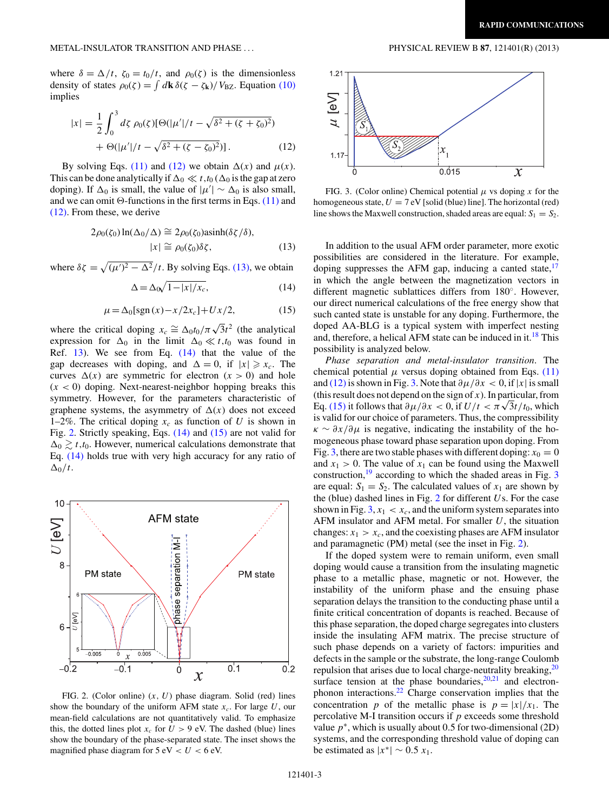<span id="page-2-0"></span>where  $\delta = \Delta/t$ ,  $\zeta_0 = t_0/t$ , and  $\rho_0(\zeta)$  is the dimensionless density of states  $\rho_0(\zeta) = \int d\mathbf{k} \delta(\zeta - \zeta_k)/V_{\text{BZ}}$ . Equation [\(10\)](#page-1-0) implies

$$
|x| = \frac{1}{2} \int_0^3 d\zeta \, \rho_0(\zeta) [\Theta(|\mu'|/t - \sqrt{\delta^2 + (\zeta + \zeta_0)^2}) + \Theta(|\mu'|/t - \sqrt{\delta^2 + (\zeta - \zeta_0)^2})]. \tag{12}
$$

By solving Eqs. [\(11\)](#page-1-0) and (12) we obtain  $\Delta(x)$  and  $\mu(x)$ . This can be done analytically if  $\Delta_0 \ll t$ ,  $t_0$  ( $\Delta_0$  is the gap at zero doping). If  $\Delta_0$  is small, the value of  $|\mu'| \sim \Delta_0$  is also small, and we can omit  $\Theta$ -functions in the first terms in Eqs. [\(11\)](#page-1-0) and (12). From these, we derive

$$
2\rho_0(\zeta_0)\ln(\Delta_0/\Delta) \cong 2\rho_0(\zeta_0)\operatorname{asinh}(\delta\zeta/\delta),
$$
  

$$
|x| \cong \rho_0(\zeta_0)\delta\zeta,
$$
 (13)

where  $\delta \zeta = \sqrt{(\mu')^2 - \Delta^2}/t$ . By solving Eqs. (13), we obtain

$$
\Delta = \Delta_0 \sqrt{1 - |x| / x_c},\tag{14}
$$

$$
\mu = \Delta_0[sgn(x) - x/2x_c] + Ux/2, \tag{15}
$$

where the critical doping  $x_c \cong \Delta_0 t_0 / \pi \sqrt{3} t^2$  (the analytical expression for  $\Delta_0$  in the limit  $\Delta_0 \ll t, t_0$  was found in Ref.  $13$ ). We see from Eq.  $(14)$  that the value of the gap decreases with doping, and  $\Delta = 0$ , if  $|x| \ge x_c$ . The curves  $\Delta(x)$  are symmetric for electron  $(x > 0)$  and hole  $(x < 0)$  doping. Next-nearest-neighbor hopping breaks this symmetry. However, for the parameters characteristic of graphene systems, the asymmetry of  $\Delta(x)$  does not exceed 1–2%. The critical doping  $x_c$  as function of *U* is shown in Fig. 2. Strictly speaking, Eqs. (14) and (15) are not valid for  $\Delta_0 \gtrsim t, t_0$ . However, numerical calculations demonstrate that Eq. (14) holds true with very high accuracy for any ratio of  $\Delta_0/t$ .



FIG. 2. (Color online) (*x, U*) phase diagram. Solid (red) lines show the boundary of the uniform AFM state  $x_c$ . For large  $U$ , our mean-field calculations are not quantitatively valid. To emphasize this, the dotted lines plot  $x_c$  for  $U > 9$  eV. The dashed (blue) lines show the boundary of the phase-separated state. The inset shows the magnified phase diagram for  $5 \text{ eV} < U < 6 \text{ eV}$ .



FIG. 3. (Color online) Chemical potential  $\mu$  vs doping  $\chi$  for the homogeneous state,  $U = 7$  eV [solid (blue) line]. The horizontal (red) line shows the Maxwell construction, shaded areas are equal:  $S_1 = S_2$ .

In addition to the usual AFM order parameter, more exotic possibilities are considered in the literature. For example, doping suppresses the AFM gap, inducing a canted state, $17$ in which the angle between the magnetization vectors in different magnetic sublattices differs from 180◦. However, our direct numerical calculations of the free energy show that such canted state is unstable for any doping. Furthermore, the doped AA-BLG is a typical system with imperfect nesting and, therefore, a helical AFM state can be induced in it.<sup>[18](#page-4-0)</sup> This possibility is analyzed below.

*Phase separation and metal-insulator transition*. The chemical potential  $\mu$  versus doping obtained from Eqs. [\(11\)](#page-1-0) and (12) is shown in Fig. 3. Note that  $\frac{\partial \mu}{\partial x} < 0$ , if |*x*| is small (this result does not depend on the sign of  $x$ ). In particular, from Eq. (15) it follows that  $\frac{\partial \mu}{\partial x} < 0$ , if  $U/t < \frac{\pi \sqrt{3}t}{t_0}$ , which is valid for our choice of parameters. Thus, the compressibility  $\kappa \sim \partial x/\partial \mu$  is negative, indicating the instability of the homogeneous phase toward phase separation upon doping. From Fig. 3, there are two stable phases with different doping:  $x_0 = 0$ and  $x_1 > 0$ . The value of  $x_1$  can be found using the Maxwell construction, $19$  according to which the shaded areas in Fig. 3 are equal:  $S_1 = S_2$ . The calculated values of  $x_1$  are shown by the (blue) dashed lines in Fig. 2 for different *U*s. For the case shown in Fig.  $3, x_1 < x_c$ , and the uniform system separates into AFM insulator and AFM metal. For smaller *U*, the situation changes:  $x_1 > x_c$ , and the coexisting phases are AFM insulator and paramagnetic (PM) metal (see the inset in Fig. 2).

If the doped system were to remain uniform, even small doping would cause a transition from the insulating magnetic phase to a metallic phase, magnetic or not. However, the instability of the uniform phase and the ensuing phase separation delays the transition to the conducting phase until a finite critical concentration of dopants is reached. Because of this phase separation, the doped charge segregates into clusters inside the insulating AFM matrix. The precise structure of such phase depends on a variety of factors: impurities and defects in the sample or the substrate, the long-range Coulomb repulsion that arises due to local charge-neutrality breaking, $20$ surface tension at the phase boundaries, $20,21$  and electronphonon interactions.[22](#page-4-0) Charge conservation implies that the concentration *p* of the metallic phase is  $p = |x|/x_1$ . The percolative M-I transition occurs if *p* exceeds some threshold value  $p^*$ , which is usually about 0.5 for two-dimensional (2D) systems, and the corresponding threshold value of doping can be estimated as  $|x^*| \sim 0.5 x_1$ .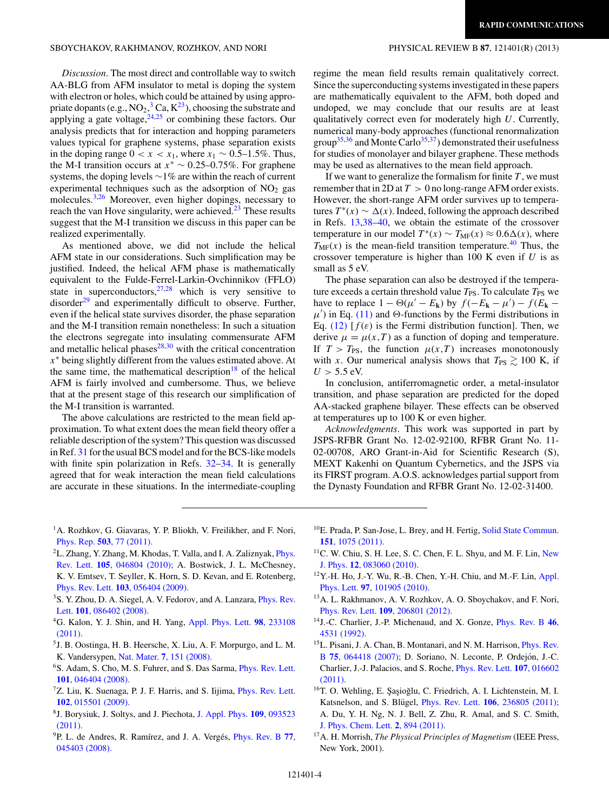<span id="page-3-0"></span>*Discussion*. The most direct and controllable way to switch AA-BLG from AFM insulator to metal is doping the system with electron or holes, which could be attained by using appropriate dopants (e.g.,  $NO_2$ , $^3$  Ca,  $K^{23}$ ), choosing the substrate and applying a gate voltage, $24,25$  or combining these factors. Our analysis predicts that for interaction and hopping parameters values typical for graphene systems, phase separation exists in the doping range  $0 < x < x_1$ , where  $x_1 \sim 0.5$ –1.5%. Thus, the M-I transition occurs at  $x^* \sim 0.25-0.75\%$ . For graphene systems, the doping levels ∼1% are within the reach of current experimental techniques such as the adsorption of  $NO<sub>2</sub>$  gas molecules.3[,26](#page-4-0) Moreover, even higher dopings, necessary to reach the van Hove singularity, were achieved. $^{23}$  $^{23}$  $^{23}$  These results suggest that the M-I transition we discuss in this paper can be realized experimentally.

As mentioned above, we did not include the helical AFM state in our considerations. Such simplification may be justified. Indeed, the helical AFM phase is mathematically equivalent to the Fulde-Ferrel-Larkin-Ovchinnikov (FFLO) state in superconductors,  $27,28$  which is very sensitive to disorder<sup>[29](#page-4-0)</sup> and experimentally difficult to observe. Further, even if the helical state survives disorder, the phase separation and the M-I transition remain nonetheless: In such a situation the electrons segregate into insulating commensurate AFM and metallic helical phases $^{28,30}$  $^{28,30}$  $^{28,30}$  with the critical concentration *x*<sup>∗</sup> being slightly different from the values estimated above. At the same time, the mathematical description<sup>18</sup> of the helical AFM is fairly involved and cumbersome. Thus, we believe that at the present stage of this research our simplification of the M-I transition is warranted.

The above calculations are restricted to the mean field approximation. To what extent does the mean field theory offer a reliable description of the system? This question was discussed in Ref. [31](#page-4-0) for the usual BCS model and for the BCS-like models with finite spin polarization in Refs. [32–34.](#page-4-0) It is generally agreed that for weak interaction the mean field calculations are accurate in these situations. In the intermediate-coupling regime the mean field results remain qualitatively correct. Since the superconducting systems investigated in these papers are mathematically equivalent to the AFM, both doped and undoped, we may conclude that our results are at least qualitatively correct even for moderately high *U*. Currently, numerical many-body approaches (functional renormalization group<sup>35,36</sup> and Monte Carlo<sup>35,37</sup>) demonstrated their usefulness for studies of monolayer and bilayer graphene. These methods may be used as alternatives to the mean field approach.

If we want to generalize the formalism for finite  $T$ , we must remember that in 2D at  $T > 0$  no long-range AFM order exists. However, the short-range AFM order survives up to temperatures  $T^*(x) \sim \Delta(x)$ . Indeed, following the approach described in Refs. 13[,38–40,](#page-4-0) we obtain the estimate of the crossover temperature in our model  $T^*(x) \sim T_{MF}(x) \approx 0.6\Delta(x)$ , where  $T_{MF}(x)$  is the mean-field transition temperature.<sup>[40](#page-4-0)</sup> Thus, the crossover temperature is higher than 100 K even if *U* is as small as 5 eV.

The phase separation can also be destroyed if the temperature exceeds a certain threshold value  $T_{PS}$ . To calculate  $T_{PS}$  we have to replace  $1 - \Theta(\mu' - E_k)$  by  $f(-E_k - \mu') - f(E_k - E_k)$  $\mu'$ ) in Eq. [\(11\)](#page-1-0) and  $\Theta$ -functions by the Fermi distributions in Eq. [\(12\)](#page-2-0)  $[f(\varepsilon)]$  is the Fermi distribution function. Then, we derive  $\mu = \mu(x, T)$  as a function of doping and temperature. If  $T > T_{PS}$ , the function  $\mu(x,T)$  increases monotonously with *x*. Our numerical analysis shows that  $T_{PS} \geq 100$  K, if  $U > 5.5$  eV.

In conclusion, antiferromagnetic order, a metal-insulator transition, and phase separation are predicted for the doped AA-stacked graphene bilayer. These effects can be observed at temperatures up to 100 K or even higher.

*Acknowledgments*. This work was supported in part by JSPS-RFBR Grant No. 12-02-92100, RFBR Grant No. 11- 02-00708, ARO Grant-in-Aid for Scientific Research (S), MEXT Kakenhi on Quantum Cybernetics, and the JSPS via its FIRST program. A.O.S. acknowledges partial support from the Dynasty Foundation and RFBR Grant No. 12-02-31400.

- <sup>1</sup>A. Rozhkov, G. Giavaras, Y. P. Bliokh, V. Freilikher, and F. Nori, Phys. Rep. **503**[, 77 \(2011\).](http://dx.doi.org/10.1016/j.physrep.2011.02.002)
- <sup>2</sup>L. Zhang, Y. Zhang, M. Khodas, T. Valla, and I. A. Zaliznyak, *[Phys.](http://dx.doi.org/10.1103/PhysRevLett.105.046804)* Rev. Lett. **105**[, 046804 \(2010\);](http://dx.doi.org/10.1103/PhysRevLett.105.046804) A. Bostwick, J. L. McChesney, K. V. Emtsev, T. Seyller, K. Horn, S. D. Kevan, and E. Rotenberg, Phys. Rev. Lett. **103**[, 056404 \(2009\).](http://dx.doi.org/10.1103/PhysRevLett.103.056404)
- <sup>3</sup>S. Y. Zhou, D. A. Siegel, A. V. Fedorov, and A. Lanzara, *[Phys. Rev.](http://dx.doi.org/10.1103/PhysRevLett.101.086402)* Lett. **101**[, 086402 \(2008\).](http://dx.doi.org/10.1103/PhysRevLett.101.086402)
- 4G. Kalon, Y. J. Shin, and H. Yang, [Appl. Phys. Lett.](http://dx.doi.org/10.1063/1.3598403) **98**, 233108 [\(2011\).](http://dx.doi.org/10.1063/1.3598403)
- 5J. B. Oostinga, H. B. Heersche, X. Liu, A. F. Morpurgo, and L. M. K. Vandersypen, Nat. Mater. **7**[, 151 \(2008\).](http://dx.doi.org/10.1038/nmat2082)
- 6S. Adam, S. Cho, M. S. Fuhrer, and S. Das Sarma, [Phys. Rev. Lett.](http://dx.doi.org/10.1103/PhysRevLett.101.046404) **101**[, 046404 \(2008\).](http://dx.doi.org/10.1103/PhysRevLett.101.046404)
- ${}^{7}Z$ . Liu, K. Suenaga, P. J. F. Harris, and S. Iijima, *[Phys. Rev. Lett.](http://dx.doi.org/10.1103/PhysRevLett.102.015501)* **102**[, 015501 \(2009\).](http://dx.doi.org/10.1103/PhysRevLett.102.015501)
- 8J. Borysiuk, J. Soltys, and J. Piechota, [J. Appl. Phys.](http://dx.doi.org/10.1063/1.3585829) **109**, 093523 [\(2011\).](http://dx.doi.org/10.1063/1.3585829)
- <sup>9</sup>P. L. de Andres, R. Ramírez, and J. A. Vergés, *[Phys. Rev. B](http://dx.doi.org/10.1103/PhysRevB.77.045403)* 77, [045403 \(2008\).](http://dx.doi.org/10.1103/PhysRevB.77.045403)
- $10E$ . Prada, P. San-Jose, L. Brey, and H. Fertig, [Solid State Commun.](http://dx.doi.org/10.1016/j.ssc.2011.05.016) **151**[, 1075 \(2011\).](http://dx.doi.org/10.1016/j.ssc.2011.05.016)
- <sup>11</sup>C. W. Chiu, S. H. Lee, S. C. Chen, F. L. Shyu, and M. F. Lin, [New](http://dx.doi.org/10.1088/1367-2630/12/8/083060) J. Phys. **12**[, 083060 \(2010\).](http://dx.doi.org/10.1088/1367-2630/12/8/083060)
- 12Y.-H. Ho, J.-Y. Wu, R.-B. Chen, Y.-H. Chiu, and M.-F. Lin, [Appl.](http://dx.doi.org/10.1063/1.3488806) Phys. Lett. **97**[, 101905 \(2010\).](http://dx.doi.org/10.1063/1.3488806)
- 13A. L. Rakhmanov, A. V. Rozhkov, A. O. Sboychakov, and F. Nori, Phys. Rev. Lett. **109**[, 206801 \(2012\).](http://dx.doi.org/10.1103/PhysRevLett.109.206801)
- 14J.-C. Charlier, J.-P. Michenaud, and X. Gonze, [Phys. Rev. B](http://dx.doi.org/10.1103/PhysRevB.46.4531) **46**, [4531 \(1992\).](http://dx.doi.org/10.1103/PhysRevB.46.4531)
- <sup>15</sup>L. Pisani, J. A. Chan, B. Montanari, and N. M. Harrison, *[Phys. Rev.](http://dx.doi.org/10.1103/PhysRevB.75.064418)* B **75**[, 064418 \(2007\);](http://dx.doi.org/10.1103/PhysRevB.75.064418) D. Soriano, N. Leconte, P. Ordejón, J.-C. Charlier, J.-J. Palacios, and S. Roche, [Phys. Rev. Lett.](http://dx.doi.org/10.1103/PhysRevLett.107.016602) **107**, 016602 [\(2011\).](http://dx.doi.org/10.1103/PhysRevLett.107.016602)
- <sup>16</sup>T. O. Wehling, E. Şaşioğlu, C. Friedrich, A. I. Lichtenstein, M. I. Katsnelson, and S. Blügel, *Phys. Rev. Lett.* **106**[, 236805 \(2011\);](http://dx.doi.org/10.1103/PhysRevLett.106.236805) A. Du, Y. H. Ng, N. J. Bell, Z. Zhu, R. Amal, and S. C. Smith, [J. Phys. Chem. Lett.](http://dx.doi.org/10.1021/jz2002698) **2**, 894 (2011).
- 17A. H. Morrish, *The Physical Principles of Magnetism* (IEEE Press, New York, 2001).